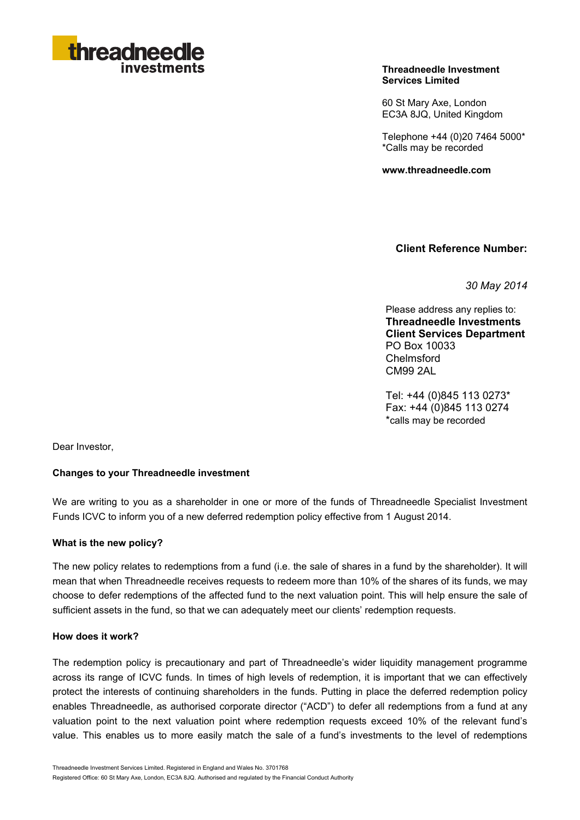

#### **Threadneedle Investment Services Limited**

60 St Mary Axe, London EC3A 8JQ, United Kingdom

Telephone +44 (0)20 7464 5000\* \*Calls may be recorded

**www.threadneedle.com** 

**Client Reference Number:**

*30 May 2014*

Please address any replies to: **Threadneedle Investments Client Services Department** PO Box 10033 Chelmsford CM99 2AL

Tel: +44 (0)845 113 0273\* Fax: +44 (0)845 113 0274 \*calls may be recorded

Dear Investor,

## **Changes to your Threadneedle investment**

We are writing to you as a shareholder in one or more of the funds of Threadneedle Specialist Investment Funds ICVC to inform you of a new deferred redemption policy effective from 1 August 2014.

#### **What is the new policy?**

The new policy relates to redemptions from a fund (i.e. the sale of shares in a fund by the shareholder). It will mean that when Threadneedle receives requests to redeem more than 10% of the shares of its funds, we may choose to defer redemptions of the affected fund to the next valuation point. This will help ensure the sale of sufficient assets in the fund, so that we can adequately meet our clients' redemption requests.

### **How does it work?**

The redemption policy is precautionary and part of Threadneedle's wider liquidity management programme across its range of ICVC funds. In times of high levels of redemption, it is important that we can effectively protect the interests of continuing shareholders in the funds. Putting in place the deferred redemption policy enables Threadneedle, as authorised corporate director ("ACD") to defer all redemptions from a fund at any valuation point to the next valuation point where redemption requests exceed 10% of the relevant fund's value. This enables us to more easily match the sale of a fund's investments to the level of redemptions